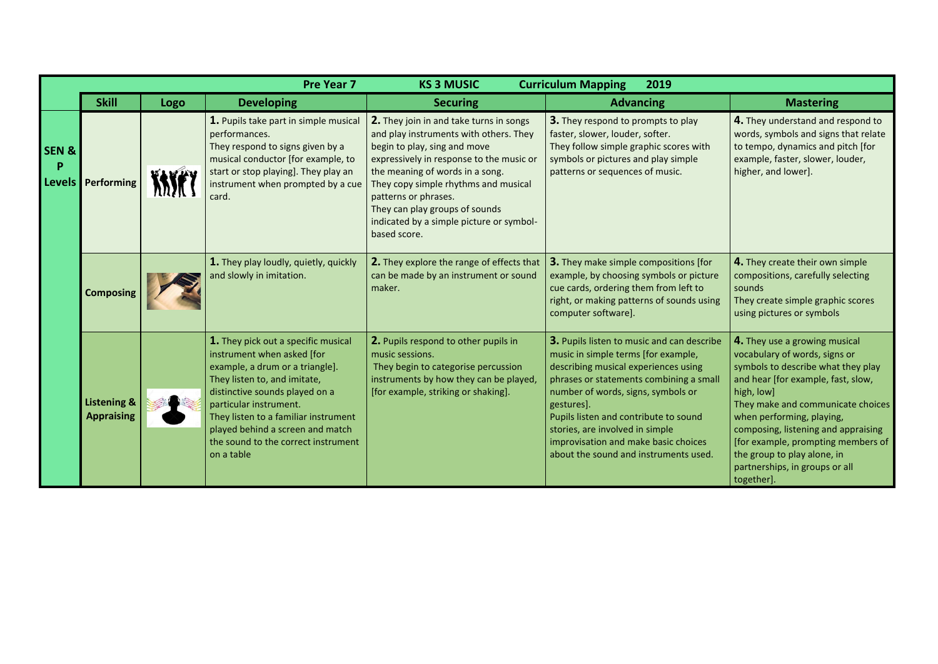|            | <b>Pre Year 7</b><br><b>KS 3 MUSIC</b><br><b>Curriculum Mapping</b><br>2019 |      |                                                                                                                                                                                                                                                                                                                                   |                                                                                                                                                                                                                                                                                                                                                                |                                                                                                                                                                                                                                                                                                                                                                                              |                                                                                                                                                                                                                                                                                                                                                                                        |
|------------|-----------------------------------------------------------------------------|------|-----------------------------------------------------------------------------------------------------------------------------------------------------------------------------------------------------------------------------------------------------------------------------------------------------------------------------------|----------------------------------------------------------------------------------------------------------------------------------------------------------------------------------------------------------------------------------------------------------------------------------------------------------------------------------------------------------------|----------------------------------------------------------------------------------------------------------------------------------------------------------------------------------------------------------------------------------------------------------------------------------------------------------------------------------------------------------------------------------------------|----------------------------------------------------------------------------------------------------------------------------------------------------------------------------------------------------------------------------------------------------------------------------------------------------------------------------------------------------------------------------------------|
|            | <b>Skill</b>                                                                | Logo | <b>Developing</b>                                                                                                                                                                                                                                                                                                                 | <b>Securing</b>                                                                                                                                                                                                                                                                                                                                                | <b>Advancing</b>                                                                                                                                                                                                                                                                                                                                                                             | <b>Mastering</b>                                                                                                                                                                                                                                                                                                                                                                       |
| SEN &<br>P | Levels   Performing                                                         |      | 1. Pupils take part in simple musical<br>performances.<br>They respond to signs given by a<br>musical conductor [for example, to<br>start or stop playing]. They play an<br>instrument when prompted by a cue<br>card.                                                                                                            | 2. They join in and take turns in songs<br>and play instruments with others. They<br>begin to play, sing and move<br>expressively in response to the music or<br>the meaning of words in a song.<br>They copy simple rhythms and musical<br>patterns or phrases.<br>They can play groups of sounds<br>indicated by a simple picture or symbol-<br>based score. | 3. They respond to prompts to play<br>faster, slower, louder, softer.<br>They follow simple graphic scores with<br>symbols or pictures and play simple<br>patterns or sequences of music.                                                                                                                                                                                                    | 4. They understand and respond to<br>words, symbols and signs that relate<br>to tempo, dynamics and pitch [for<br>example, faster, slower, louder,<br>higher, and lower].                                                                                                                                                                                                              |
|            | Composing                                                                   |      | 1. They play loudly, quietly, quickly<br>and slowly in imitation.                                                                                                                                                                                                                                                                 | 2. They explore the range of effects that<br>can be made by an instrument or sound<br>maker.                                                                                                                                                                                                                                                                   | <b>3.</b> They make simple compositions [for<br>example, by choosing symbols or picture<br>cue cards, ordering them from left to<br>right, or making patterns of sounds using<br>computer software].                                                                                                                                                                                         | 4. They create their own simple<br>compositions, carefully selecting<br>sounds<br>They create simple graphic scores<br>using pictures or symbols                                                                                                                                                                                                                                       |
|            | <b>Listening &amp;</b><br><b>Appraising</b>                                 |      | 1. They pick out a specific musical<br>instrument when asked [for<br>example, a drum or a triangle].<br>They listen to, and imitate,<br>distinctive sounds played on a<br>particular instrument.<br>They listen to a familiar instrument<br>played behind a screen and match<br>the sound to the correct instrument<br>on a table | 2. Pupils respond to other pupils in<br>music sessions.<br>They begin to categorise percussion<br>instruments by how they can be played,<br>[for example, striking or shaking].                                                                                                                                                                                | <b>3.</b> Pupils listen to music and can describe<br>music in simple terms [for example,<br>describing musical experiences using<br>phrases or statements combining a small<br>number of words, signs, symbols or<br>gestures].<br>Pupils listen and contribute to sound<br>stories, are involved in simple<br>improvisation and make basic choices<br>about the sound and instruments used. | 4. They use a growing musical<br>vocabulary of words, signs or<br>symbols to describe what they play<br>and hear [for example, fast, slow,<br>high, low]<br>They make and communicate choices<br>when performing, playing,<br>composing, listening and appraising<br>[for example, prompting members of<br>the group to play alone, in<br>partnerships, in groups or all<br>together]. |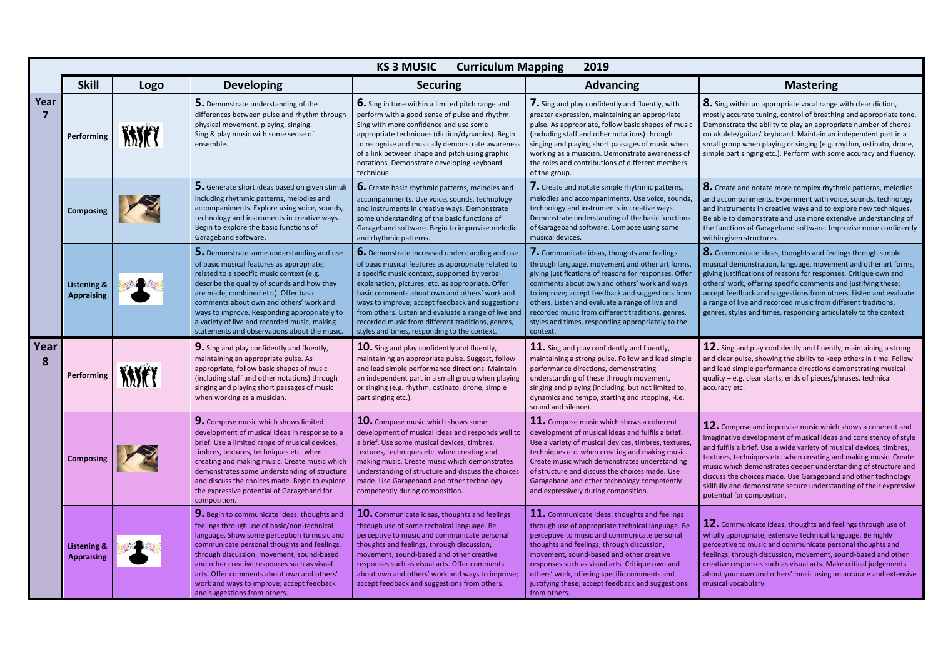**8.** Sing within an appropriate vocal range with clear diction, ostly accurate tuning, control of breathing and appropriate tone. monstrate the ability to play an appropriate number of chords ukulele/guitar/ keyboard. Maintain an independent part in a all group when playing or singing (e.g. rhythm, ostinato, drone, mple part singing etc.). Perform with some accuracy and fluency.

**8.** Create and notate more complex rhythmic patterns, melodies d accompaniments. Experiment with voice, sounds, technology d instruments in creative ways and to explore new techniques. able to demonstrate and use more extensive understanding of e functions of Garageband software. Improvise more confidently thin given structures.

**8.** Communicate ideas, thoughts and feelings through simple usical demonstration, language, movement and other art forms, ing justifications of reasons for responses. Critique own and hers' work, offering specific comments and justifying these; cept feedback and suggestions from others. Listen and evaluate ange of live and recorded music from different traditions, nres, styles and times, responding articulately to the context.

**12.** Sing and play confidently and fluently, maintaining a strong ad clear pulse, showing the ability to keep others in time. Follow nd lead simple performance directions demonstrating musical ality – e.g. clear starts, ends of pieces/phrases, technical curacy etc.

**12.** Compose and improvise music which shows a coherent and aginative development of musical ideas and consistency of style d fulfils a brief. Use a wide variety of musical devices, timbres, tures, techniques etc. when creating and making music. Create usic which demonstrates deeper understanding of structure and cuss the choices made. Use Garageband and other technology ilfully and demonstrate secure understanding of their expressive tential for composition.

|           | <b>KS 3 MUSIC</b><br><b>Curriculum Mapping</b><br>2019 |      |                                                                                                                                                                                                                                                                                                                                                                                                                        |                                                                                                                                                                                                                                                                                                                                                                                                                                                                                      |                                                                                                                                                                                                                                                                                                                                                                                                                                      |                                                                                                                                                                                                                                                                                                                                                  |
|-----------|--------------------------------------------------------|------|------------------------------------------------------------------------------------------------------------------------------------------------------------------------------------------------------------------------------------------------------------------------------------------------------------------------------------------------------------------------------------------------------------------------|--------------------------------------------------------------------------------------------------------------------------------------------------------------------------------------------------------------------------------------------------------------------------------------------------------------------------------------------------------------------------------------------------------------------------------------------------------------------------------------|--------------------------------------------------------------------------------------------------------------------------------------------------------------------------------------------------------------------------------------------------------------------------------------------------------------------------------------------------------------------------------------------------------------------------------------|--------------------------------------------------------------------------------------------------------------------------------------------------------------------------------------------------------------------------------------------------------------------------------------------------------------------------------------------------|
|           | <b>Skill</b>                                           | Logo | <b>Developing</b>                                                                                                                                                                                                                                                                                                                                                                                                      | <b>Securing</b>                                                                                                                                                                                                                                                                                                                                                                                                                                                                      | <b>Advancing</b>                                                                                                                                                                                                                                                                                                                                                                                                                     | <b>Mastering</b>                                                                                                                                                                                                                                                                                                                                 |
| Year      | Performing                                             |      | 5. Demonstrate understanding of the<br>differences between pulse and rhythm through<br>physical movement, playing, singing.<br>Sing & play music with some sense of<br>ensemble.                                                                                                                                                                                                                                       | <b>b.</b> Sing in tune within a limited pitch range and<br>perform with a good sense of pulse and rhythm.<br>Sing with more confidence and use some<br>appropriate techniques (diction/dynamics). Begin<br>to recognise and musically demonstrate awareness<br>of a link between shape and pitch using graphic<br>notations. Demonstrate developing keyboard<br>technique.                                                                                                           | <b>7.</b> Sing and play confidently and fluently, with<br>greater expression, maintaining an appropriate<br>pulse. As appropriate, follow basic shapes of music<br>(including staff and other notations) through<br>singing and playing short passages of music when<br>working as a musician. Demonstrate awareness of<br>the roles and contributions of different members<br>of the group.                                         | 8. Sing within an appropriate vocal range<br>mostly accurate tuning, control of breathi<br>Demonstrate the ability to play an approp<br>on ukulele/guitar/ keyboard. Maintain an<br>small group when playing or singing (e.g. I<br>simple part singing etc.). Perform with sor                                                                   |
|           | <b>Composing</b>                                       |      | 5. Generate short ideas based on given stimuli<br>including rhythmic patterns, melodies and<br>accompaniments. Explore using voice, sounds,<br>technology and instruments in creative ways.<br>Begin to explore the basic functions of<br>Garageband software.                                                                                                                                                         | <b>b.</b> Create basic rhythmic patterns, melodies and<br>accompaniments. Use voice, sounds, technology<br>and instruments in creative ways. Demonstrate<br>some understanding of the basic functions of<br>Garageband software. Begin to improvise melodic<br>and rhythmic patterns.                                                                                                                                                                                                | 7. Create and notate simple rhythmic patterns,<br>melodies and accompaniments. Use voice, sounds,<br>technology and instruments in creative ways.<br>Demonstrate understanding of the basic functions<br>of Garageband software. Compose using some<br>musical devices.                                                                                                                                                              | 8. Create and notate more complex rhyth<br>and accompaniments. Experiment with vo<br>and instruments in creative ways and to e<br>Be able to demonstrate and use more ext<br>the functions of Garageband software. Im<br>within given structures.                                                                                                |
|           | <b>Listening &amp;</b><br><b>Appraising</b>            |      | 5. Demonstrate some understanding and use<br>of basic musical features as appropriate,<br>related to a specific music context (e.g.<br>describe the quality of sounds and how they<br>are made, combined etc.). Offer basic<br>comments about own and others' work and<br>ways to improve. Responding appropriately to<br>a variety of live and recorded music, making<br>statements and observations about the music. | <b>6.</b> Demonstrate increased understanding and use<br>of basic musical features as appropriate related to<br>a specific music context, supported by verbal<br>explanation, pictures, etc. as appropriate. Offer<br>basic comments about own and others' work and<br>ways to improve; accept feedback and suggestions<br>from others. Listen and evaluate a range of live and<br>recorded music from different traditions, genres,<br>styles and times, responding to the context. | 7. Communicate ideas, thoughts and feelings<br>through language, movement and other art forms,<br>giving justifications of reasons for responses. Offer<br>comments about own and others' work and ways<br>to improve; accept feedback and suggestions from<br>others. Listen and evaluate a range of live and<br>recorded music from different traditions, genres,<br>styles and times, responding appropriately to the<br>context. | 8. Communicate ideas, thoughts and fee<br>musical demonstration, language, movem<br>giving justifications of reasons for respons<br>others' work, offering specific comments a<br>accept feedback and suggestions from oth<br>a range of live and recorded music from d<br>genres, styles and times, responding artic                            |
| Year<br>8 | Performing                                             |      | 9. Sing and play confidently and fluently,<br>maintaining an appropriate pulse. As<br>appropriate, follow basic shapes of music<br>(including staff and other notations) through<br>singing and playing short passages of music<br>when working as a musician.                                                                                                                                                         | 10. Sing and play confidently and fluently,<br>maintaining an appropriate pulse. Suggest, follow<br>and lead simple performance directions. Maintain<br>an independent part in a small group when playing<br>or singing (e.g. rhythm, ostinato, drone, simple<br>part singing etc.).                                                                                                                                                                                                 | $11.$ Sing and play confidently and fluently,<br>maintaining a strong pulse. Follow and lead simple<br>performance directions, demonstrating<br>understanding of these through movement,<br>singing and playing (including, but not limited to,<br>dynamics and tempo, starting and stopping, -i.e.<br>sound and silence).                                                                                                           | 12. Sing and play confidently and fluentl<br>and clear pulse, showing the ability to kee<br>and lead simple performance directions d<br>quality - e.g. clear starts, ends of pieces/p<br>accuracy etc.                                                                                                                                           |
|           | <b>Composing</b>                                       |      | 9. Compose music which shows limited<br>development of musical ideas in response to a<br>brief. Use a limited range of musical devices,<br>timbres, textures, techniques etc. when<br>creating and making music. Create music which<br>demonstrates some understanding of structure<br>and discuss the choices made. Begin to explore<br>the expressive potential of Garageband for<br>composition.                    | 10. Compose music which shows some<br>development of musical ideas and responds well to<br>a brief. Use some musical devices, timbres,<br>textures, techniques etc. when creating and<br>making music. Create music which demonstrates<br>understanding of structure and discuss the choices<br>made. Use Garageband and other technology<br>competently during composition.                                                                                                         | 11. Compose music which shows a coherent<br>development of musical ideas and fulfils a brief.<br>Use a variety of musical devices, timbres, textures,<br>techniques etc. when creating and making music.<br>Create music which demonstrates understanding<br>of structure and discuss the choices made. Use<br>Garageband and other technology competently<br>and expressively during composition.                                   | 12. Compose and improvise music which<br>imaginative development of musical ideas<br>and fulfils a brief. Use a wide variety of mi<br>textures, techniques etc. when creating ar<br>music which demonstrates deeper unders<br>discuss the choices made. Use Garageban<br>skilfully and demonstrate secure understa<br>potential for composition. |
|           | <b>Listening &amp;</b><br><b>Appraising</b>            |      | 9. Begin to communicate ideas, thoughts and<br>feelings through use of basic/non-technical<br>language. Show some perception to music and<br>communicate personal thoughts and feelings,<br>through discussion, movement, sound-based<br>and other creative responses such as visual<br>arts. Offer comments about own and others'<br>work and ways to improve; accept feedback<br>and suggestions from others.        | 10. Communicate ideas, thoughts and feelings<br>through use of some technical language. Be<br>perceptive to music and communicate personal<br>thoughts and feelings, through discussion,<br>movement, sound-based and other creative<br>responses such as visual arts. Offer comments<br>about own and others' work and ways to improve;<br>accept feedback and suggestions from others.                                                                                             | $11.$ Communicate ideas, thoughts and feelings<br>through use of appropriate technical language. Be<br>perceptive to music and communicate personal<br>thoughts and feelings, through discussion,<br>movement, sound-based and other creative<br>responses such as visual arts. Critique own and<br>others' work, offering specific comments and<br>justifying these; accept feedback and suggestions<br>from others.                | $\bf 12.$ Communicate ideas, thoughts and fe<br>wholly appropriate, extensive technical la<br>perceptive to music and communicate per<br>feelings, through discussion, movement, s<br>creative responses such as visual arts. Ma<br>about your own and others' music using a<br>musical vocabulary.                                              |

**12.** Communicate ideas, thoughts and feelings through use of olly appropriate, extensive technical language. Be highly rceptive to music and communicate personal thoughts and elings, through discussion, movement, sound-based and other eative responses such as visual arts. Make critical judgements out your own and others' music using an accurate and extensive usical vocabulary.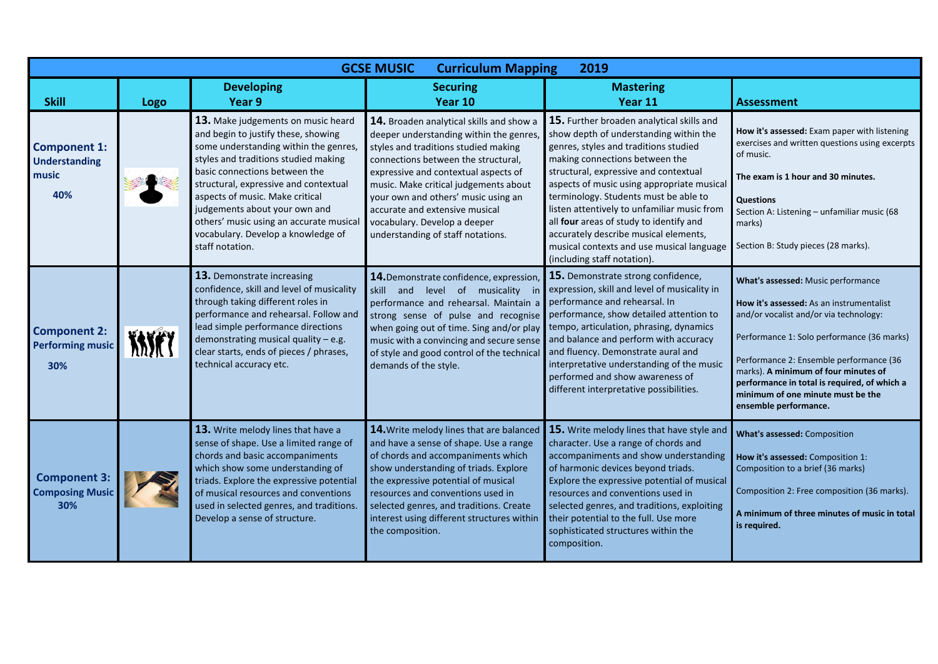| <b>GCSE MUSIC</b><br><b>Curriculum Mapping</b><br>2019      |      |                                                                                                                                                                                                                                                                                                                                                                                                              |                                                                                                                                                                                                                                                                                                                                                                                                   |                                                                                                                                                                                                                                                                                                                                                                                                                                                                                                               |                                                                                                                                                                                                                                                                                                                                                                         |  |
|-------------------------------------------------------------|------|--------------------------------------------------------------------------------------------------------------------------------------------------------------------------------------------------------------------------------------------------------------------------------------------------------------------------------------------------------------------------------------------------------------|---------------------------------------------------------------------------------------------------------------------------------------------------------------------------------------------------------------------------------------------------------------------------------------------------------------------------------------------------------------------------------------------------|---------------------------------------------------------------------------------------------------------------------------------------------------------------------------------------------------------------------------------------------------------------------------------------------------------------------------------------------------------------------------------------------------------------------------------------------------------------------------------------------------------------|-------------------------------------------------------------------------------------------------------------------------------------------------------------------------------------------------------------------------------------------------------------------------------------------------------------------------------------------------------------------------|--|
| <b>Skill</b>                                                | Logo | <b>Developing</b><br>Year 9                                                                                                                                                                                                                                                                                                                                                                                  | <b>Securing</b><br>Year 10                                                                                                                                                                                                                                                                                                                                                                        | <b>Mastering</b><br>Year 11                                                                                                                                                                                                                                                                                                                                                                                                                                                                                   | Assessment                                                                                                                                                                                                                                                                                                                                                              |  |
| <b>Component 1:</b><br><b>Understanding</b><br>music<br>40% |      | 13. Make judgements on music heard<br>and begin to justify these, showing<br>some understanding within the genres,<br>styles and traditions studied making<br>basic connections between the<br>structural, expressive and contextual<br>aspects of music. Make critical<br>judgements about your own and<br>others' music using an accurate musical<br>vocabulary. Develop a knowledge of<br>staff notation. | 14. Broaden analytical skills and show a<br>deeper understanding within the genres,<br>styles and traditions studied making<br>connections between the structural,<br>expressive and contextual aspects of<br>music. Make critical judgements about<br>your own and others' music using an<br>accurate and extensive musical<br>vocabulary. Develop a deeper<br>understanding of staff notations. | 15. Further broaden analytical skills and<br>show depth of understanding within the<br>genres, styles and traditions studied<br>making connections between the<br>structural, expressive and contextual<br>aspects of music using appropriate musical<br>terminology. Students must be able to<br>listen attentively to unfamiliar music from<br>all four areas of study to identify and<br>accurately describe musical elements,<br>musical contexts and use musical language<br>(including staff notation). | How it's assessed: Exam paper with listening<br>exercises and written questions using excerpts<br>of music.<br>The exam is 1 hour and 30 minutes.<br><b>Questions</b><br>Section A: Listening - unfamiliar music (68<br>marks)<br>Section B: Study pieces (28 marks).                                                                                                   |  |
| <b>Component 2:</b><br><b>Performing music</b><br>30%       |      | 13. Demonstrate increasing<br>confidence, skill and level of musicality<br>through taking different roles in<br>performance and rehearsal. Follow and<br>lead simple performance directions<br>demonstrating musical quality - e.g.<br>clear starts, ends of pieces / phrases,<br>technical accuracy etc.                                                                                                    | 14. Demonstrate confidence, expression,<br>skill<br>level of musicality<br>and<br>in<br>performance and rehearsal. Maintain a performance and rehearsal. In<br>strong sense of pulse and recognise<br>when going out of time. Sing and/or play<br>music with a convincing and secure sense<br>of style and good control of the technical<br>demands of the style.                                 | 15. Demonstrate strong confidence,<br>expression, skill and level of musicality in<br>performance, show detailed attention to<br>tempo, articulation, phrasing, dynamics<br>and balance and perform with accuracy<br>and fluency. Demonstrate aural and<br>interpretative understanding of the music<br>performed and show awareness of<br>different interpretative possibilities.                                                                                                                            | What's assessed: Music performance<br>How it's assessed: As an instrumentalist<br>and/or vocalist and/or via technology:<br>Performance 1: Solo performance (36 marks)<br>Performance 2: Ensemble performance (36<br>marks). A minimum of four minutes of<br>performance in total is required, of which a<br>minimum of one minute must be the<br>ensemble performance. |  |
| <b>Component 3:</b><br><b>Composing Music</b><br>30%        |      | 13. Write melody lines that have a<br>sense of shape. Use a limited range of<br>chords and basic accompaniments<br>which show some understanding of<br>triads. Explore the expressive potential<br>of musical resources and conventions<br>used in selected genres, and traditions.<br>Develop a sense of structure.                                                                                         | <b>14.</b> Write melody lines that are balanced<br>and have a sense of shape. Use a range<br>of chords and accompaniments which<br>show understanding of triads. Explore<br>the expressive potential of musical<br>resources and conventions used in<br>selected genres, and traditions. Create<br>interest using different structures within<br>the composition.                                 | <b>15.</b> Write melody lines that have style and<br>character. Use a range of chords and<br>accompaniments and show understanding<br>of harmonic devices beyond triads.<br>Explore the expressive potential of musical<br>resources and conventions used in<br>selected genres, and traditions, exploiting<br>their potential to the full. Use more<br>sophisticated structures within the<br>composition.                                                                                                   | What's assessed: Composition<br>How it's assessed: Composition 1:<br>Composition to a brief (36 marks)<br>Composition 2: Free composition (36 marks).<br>A minimum of three minutes of music in total<br>is required.                                                                                                                                                   |  |